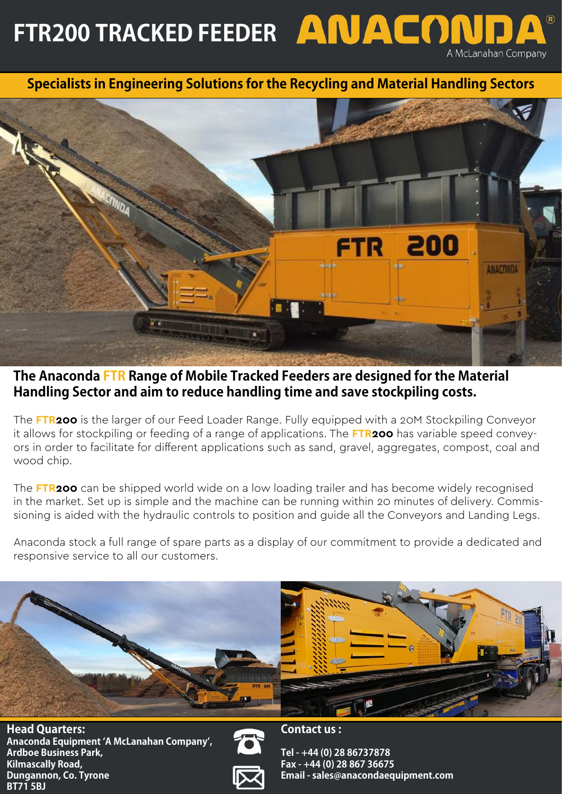FTR200 TRACKED FEEDER **ANACON** A McLanahan Company

**Specialists in Engineering Solutions for the Recycling and Material Handling Sectors**



**The Anaconda FTR Range of Mobile Tracked Feeders are designed for the Material Handling Sector and aim to reduce handling time and save stockpiling costs.**

The **FTR200** is the larger of our Feed Loader Range. Fully equipped with a 20M Stockpiling Conveyor it allows for stockpiling or feeding of a range of applications. The **FTR200** has variable speed conveyors in order to facilitate for different applications such as sand, gravel, aggregates, compost, coal and wood chip.

The **FTR200** can be shipped world wide on a low loading trailer and has become widely recognised in the market. Set up is simple and the machine can be running within 20 minutes of delivery. Commissioning is aided with the hydraulic controls to position and guide all the Conveyors and Landing Legs.

Anaconda stock a full range of spare parts as a display of our commitment to provide a dedicated and responsive service to all our customers.



**Head Quarters: Anaconda Equipment 'A McLanahan Company', Ardboe Business Park, Kilmascally Road, Dungannon, Co. Tyrone BT71 5BJ** 





**Tel - +44 (0) 28 86737878 Fax - +44 (0) 28 867 36675 Email - sales@anacondaequipment.com**